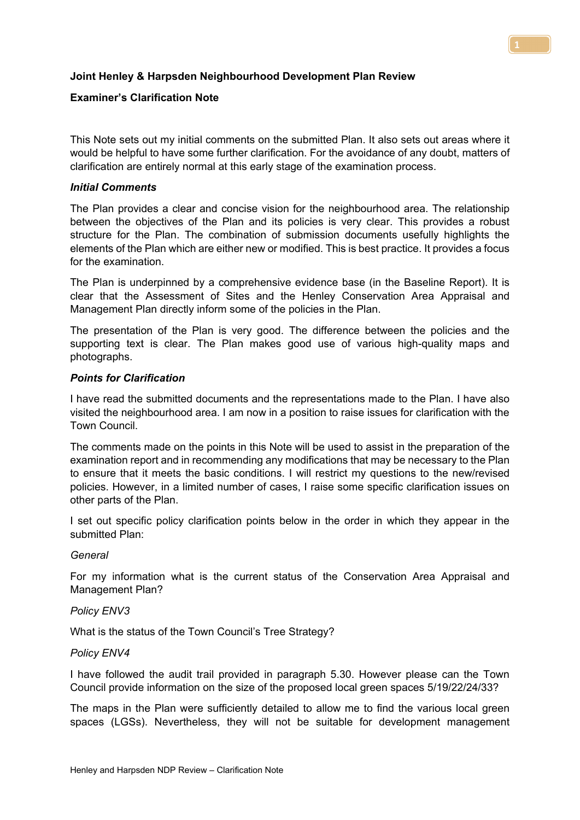## **Joint Henley & Harpsden Neighbourhood Development Plan Review**

# **Examiner's Clarification Note**

This Note sets out my initial comments on the submitted Plan. It also sets out areas where it would be helpful to have some further clarification. For the avoidance of any doubt, matters of clarification are entirely normal at this early stage of the examination process.

## *Initial Comments*

The Plan provides a clear and concise vision for the neighbourhood area. The relationship between the objectives of the Plan and its policies is very clear. This provides a robust structure for the Plan. The combination of submission documents usefully highlights the elements of the Plan which are either new or modified. This is best practice. It provides a focus for the examination.

The Plan is underpinned by a comprehensive evidence base (in the Baseline Report). It is clear that the Assessment of Sites and the Henley Conservation Area Appraisal and Management Plan directly inform some of the policies in the Plan.

The presentation of the Plan is very good. The difference between the policies and the supporting text is clear. The Plan makes good use of various high-quality maps and photographs.

## *Points for Clarification*

I have read the submitted documents and the representations made to the Plan. I have also visited the neighbourhood area. I am now in a position to raise issues for clarification with the Town Council.

The comments made on the points in this Note will be used to assist in the preparation of the examination report and in recommending any modifications that may be necessary to the Plan to ensure that it meets the basic conditions. I will restrict my questions to the new/revised policies. However, in a limited number of cases, I raise some specific clarification issues on other parts of the Plan.

I set out specific policy clarification points below in the order in which they appear in the submitted Plan:

#### *General*

For my information what is the current status of the Conservation Area Appraisal and Management Plan?

#### *Policy ENV3*

What is the status of the Town Council's Tree Strategy?

#### *Policy ENV4*

I have followed the audit trail provided in paragraph 5.30. However please can the Town Council provide information on the size of the proposed local green spaces 5/19/22/24/33?

The maps in the Plan were sufficiently detailed to allow me to find the various local green spaces (LGSs). Nevertheless, they will not be suitable for development management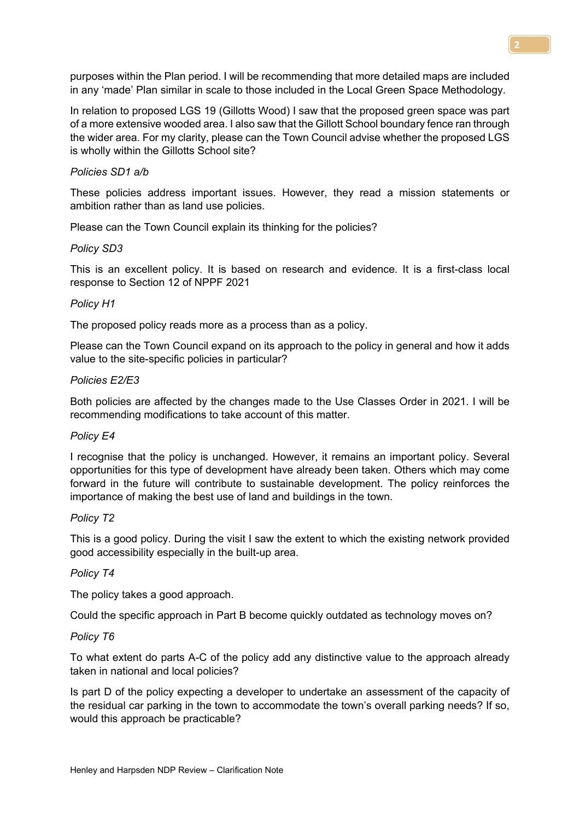purposes within the Plan period. I will be recommending that more detailed maps are included in any 'made' Plan similar in scale to those included in the Local Green Space Methodology.

In relation to proposed LGS 19 (Gillotts Wood) I saw that the proposed green space was part of a more extensive wooded area. I also saw that the Gillott School boundary fence ran through the wider area. For my clarity, please can the Town Council advise whether the proposed LGS is wholly within the Gillotts School site?

### *Policies SD1 a/b*

These policies address important issues. However, they read a mission statements or ambition rather than as land use policies.

Please can the Town Council explain its thinking for the policies?

## *Policy SD3*

This is an excellent policy. It is based on research and evidence. It is a first-class local response to Section 12 of NPPF 2021

## *Policy H1*

The proposed policy reads more as a process than as a policy.

Please can the Town Council expand on its approach to the policy in general and how it adds value to the site-specific policies in particular?

## *Policies E2/E3*

Both policies are affected by the changes made to the Use Classes Order in 2021. I will be recommending modifications to take account of this matter.

#### *Policy E4*

I recognise that the policy is unchanged. However, it remains an important policy. Several opportunities for this type of development have already been taken. Others which may come forward in the future will contribute to sustainable development. The policy reinforces the importance of making the best use of land and buildings in the town.

#### *Policy T2*

This is a good policy. During the visit I saw the extent to which the existing network provided good accessibility especially in the built-up area.

#### *Policy T4*

The policy takes a good approach.

Could the specific approach in Part B become quickly outdated as technology moves on?

#### *Policy T6*

To what extent do parts A-C of the policy add any distinctive value to the approach already taken in national and local policies?

Is part D of the policy expecting a developer to undertake an assessment of the capacity of the residual car parking in the town to accommodate the town's overall parking needs? If so, would this approach be practicable?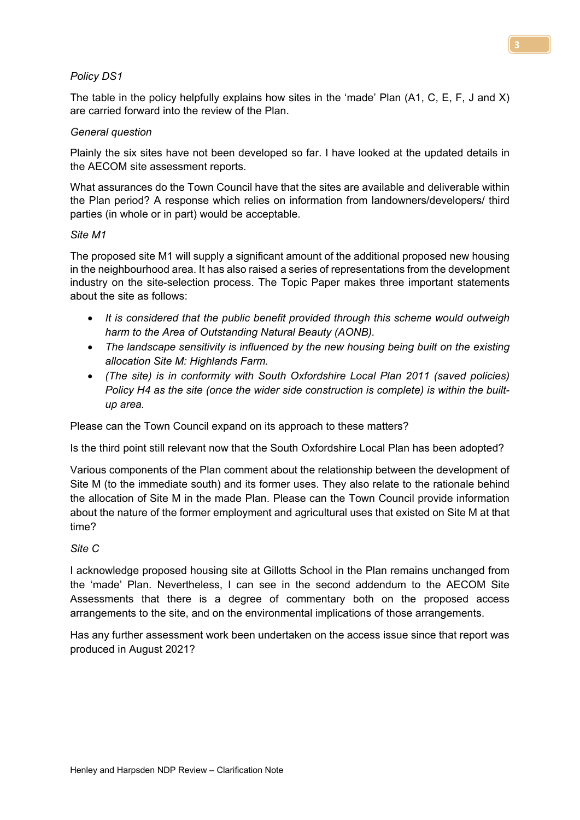## *Policy DS1*

The table in the policy helpfully explains how sites in the 'made' Plan (A1, C, E, F, J and X) are carried forward into the review of the Plan.

## *General question*

Plainly the six sites have not been developed so far. I have looked at the updated details in the AECOM site assessment reports.

What assurances do the Town Council have that the sites are available and deliverable within the Plan period? A response which relies on information from landowners/developers/ third parties (in whole or in part) would be acceptable.

#### *Site M1*

The proposed site M1 will supply a significant amount of the additional proposed new housing in the neighbourhood area. It has also raised a series of representations from the development industry on the site-selection process. The Topic Paper makes three important statements about the site as follows:

- *It is considered that the public benefit provided through this scheme would outweigh harm to the Area of Outstanding Natural Beauty (AONB).*
- *The landscape sensitivity is influenced by the new housing being built on the existing allocation Site M: Highlands Farm.*
- *(The site) is in conformity with South Oxfordshire Local Plan 2011 (saved policies) Policy H4 as the site (once the wider side construction is complete) is within the builtup area.*

Please can the Town Council expand on its approach to these matters?

Is the third point still relevant now that the South Oxfordshire Local Plan has been adopted?

Various components of the Plan comment about the relationship between the development of Site M (to the immediate south) and its former uses. They also relate to the rationale behind the allocation of Site M in the made Plan. Please can the Town Council provide information about the nature of the former employment and agricultural uses that existed on Site M at that time?

#### *Site C*

I acknowledge proposed housing site at Gillotts School in the Plan remains unchanged from the 'made' Plan. Nevertheless, I can see in the second addendum to the AECOM Site Assessments that there is a degree of commentary both on the proposed access arrangements to the site, and on the environmental implications of those arrangements.

Has any further assessment work been undertaken on the access issue since that report was produced in August 2021?